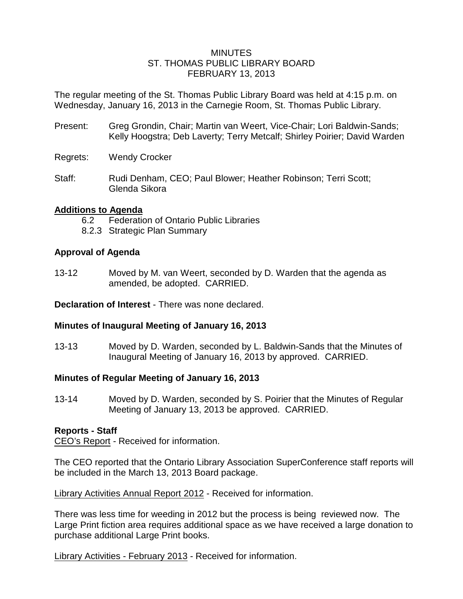#### **MINUTES** ST. THOMAS PUBLIC LIBRARY BOARD FEBRUARY 13, 2013

The regular meeting of the St. Thomas Public Library Board was held at 4:15 p.m. on Wednesday, January 16, 2013 in the Carnegie Room, St. Thomas Public Library.

- Present: Greg Grondin, Chair; Martin van Weert, Vice-Chair; Lori Baldwin-Sands; Kelly Hoogstra; Deb Laverty; Terry Metcalf; Shirley Poirier; David Warden
- Regrets: Wendy Crocker
- Staff: Rudi Denham, CEO; Paul Blower; Heather Robinson; Terri Scott; Glenda Sikora

## **Additions to Agenda**

- 6.2 Federation of Ontario Public Libraries
- 8.2.3 Strategic Plan Summary

### **Approval of Agenda**

13-12 Moved by M. van Weert, seconded by D. Warden that the agenda as amended, be adopted. CARRIED.

**Declaration of Interest** - There was none declared.

#### **Minutes of Inaugural Meeting of January 16, 2013**

13-13 Moved by D. Warden, seconded by L. Baldwin-Sands that the Minutes of Inaugural Meeting of January 16, 2013 by approved. CARRIED.

## **Minutes of Regular Meeting of January 16, 2013**

13-14 Moved by D. Warden, seconded by S. Poirier that the Minutes of Regular Meeting of January 13, 2013 be approved. CARRIED.

#### **Reports - Staff**

CEO's Report - Received for information.

The CEO reported that the Ontario Library Association SuperConference staff reports will be included in the March 13, 2013 Board package.

Library Activities Annual Report 2012 - Received for information.

There was less time for weeding in 2012 but the process is being reviewed now. The Large Print fiction area requires additional space as we have received a large donation to purchase additional Large Print books.

Library Activities - February 2013 - Received for information.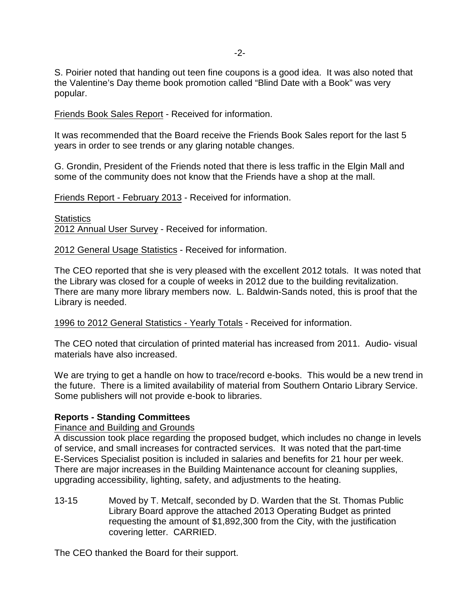S. Poirier noted that handing out teen fine coupons is a good idea. It was also noted that the Valentine's Day theme book promotion called "Blind Date with a Book" was very popular.

Friends Book Sales Report - Received for information.

It was recommended that the Board receive the Friends Book Sales report for the last 5 years in order to see trends or any glaring notable changes.

G. Grondin, President of the Friends noted that there is less traffic in the Elgin Mall and some of the community does not know that the Friends have a shop at the mall.

Friends Report - February 2013 - Received for information.

**Statistics** 2012 Annual User Survey - Received for information.

2012 General Usage Statistics - Received for information.

The CEO reported that she is very pleased with the excellent 2012 totals. It was noted that the Library was closed for a couple of weeks in 2012 due to the building revitalization. There are many more library members now. L. Baldwin-Sands noted, this is proof that the Library is needed.

1996 to 2012 General Statistics - Yearly Totals - Received for information.

The CEO noted that circulation of printed material has increased from 2011. Audio- visual materials have also increased.

We are trying to get a handle on how to trace/record e-books. This would be a new trend in the future. There is a limited availability of material from Southern Ontario Library Service. Some publishers will not provide e-book to libraries.

#### **Reports - Standing Committees**

Finance and Building and Grounds

A discussion took place regarding the proposed budget, which includes no change in levels of service, and small increases for contracted services. It was noted that the part-time E-Services Specialist position is included in salaries and benefits for 21 hour per week. There are major increases in the Building Maintenance account for cleaning supplies, upgrading accessibility, lighting, safety, and adjustments to the heating.

13-15 Moved by T. Metcalf, seconded by D. Warden that the St. Thomas Public Library Board approve the attached 2013 Operating Budget as printed requesting the amount of \$1,892,300 from the City, with the justification covering letter. CARRIED.

The CEO thanked the Board for their support.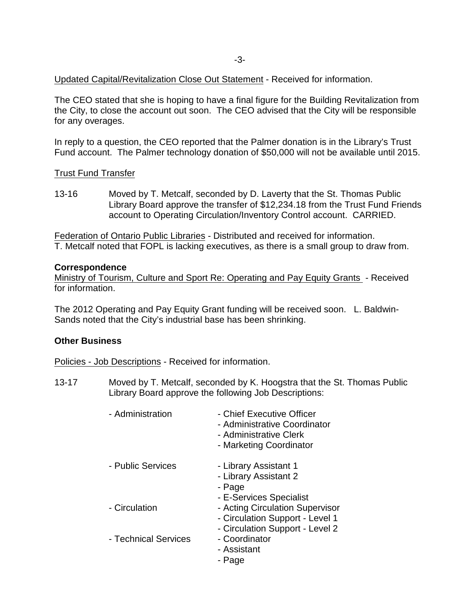Updated Capital/Revitalization Close Out Statement - Received for information.

The CEO stated that she is hoping to have a final figure for the Building Revitalization from the City, to close the account out soon. The CEO advised that the City will be responsible for any overages.

In reply to a question, the CEO reported that the Palmer donation is in the Library's Trust Fund account. The Palmer technology donation of \$50,000 will not be available until 2015.

Trust Fund Transfer

13-16 Moved by T. Metcalf, seconded by D. Laverty that the St. Thomas Public Library Board approve the transfer of \$12,234.18 from the Trust Fund Friends account to Operating Circulation/Inventory Control account. CARRIED.

Federation of Ontario Public Libraries - Distributed and received for information. T. Metcalf noted that FOPL is lacking executives, as there is a small group to draw from.

#### **Correspondence**

Ministry of Tourism, Culture and Sport Re: Operating and Pay Equity Grants - Received for information.

The 2012 Operating and Pay Equity Grant funding will be received soon. L. Baldwin-Sands noted that the City's industrial base has been shrinking.

## **Other Business**

Policies - Job Descriptions - Received for information.

13-17 Moved by T. Metcalf, seconded by K. Hoogstra that the St. Thomas Public Library Board approve the following Job Descriptions:

| - Administration     | - Chief Executive Officer<br>- Administrative Coordinator<br>- Administrative Clerk<br>- Marketing Coordinator                   |
|----------------------|----------------------------------------------------------------------------------------------------------------------------------|
| - Public Services    | - Library Assistant 1<br>- Library Assistant 2<br>- Page                                                                         |
| - Circulation        | - E-Services Specialist<br>- Acting Circulation Supervisor<br>- Circulation Support - Level 1<br>- Circulation Support - Level 2 |
| - Technical Services | - Coordinator<br>- Assistant<br>- Page                                                                                           |